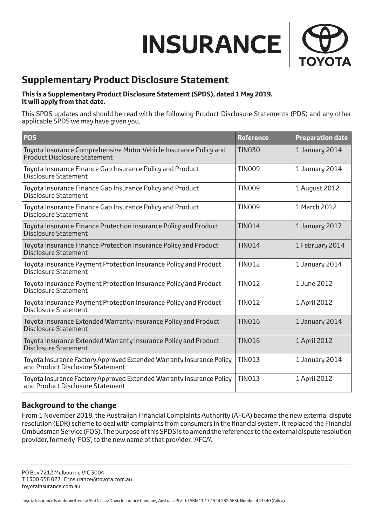# $\pmb{\quad \text{INSURANCE}\text{ }}\Big\vert$



# **Supplementary Product Disclosure Statement**

#### **This is a Supplementary Product Disclosure Statement (SPDS), dated 1 May 2019. It will apply from that date.**

This SPDS updates and should be read with the following Product Disclosure Statements (PDS) and any other applicable SPDS we may have given you.

| <b>PDS</b>                                                                                               | <b>Reference</b> | <b>Preparation date</b> |
|----------------------------------------------------------------------------------------------------------|------------------|-------------------------|
| Toyota Insurance Comprehensive Motor Vehicle Insurance Policy and<br><b>Product Disclosure Statement</b> | <b>TIN030</b>    | 1 January 2014          |
| Toyota Insurance Finance Gap Insurance Policy and Product<br><b>Disclosure Statement</b>                 | <b>TIN009</b>    | 1 January 2014          |
| Toyota Insurance Finance Gap Insurance Policy and Product<br><b>Disclosure Statement</b>                 | <b>TIN009</b>    | 1 August 2012           |
| Toyota Insurance Finance Gap Insurance Policy and Product<br><b>Disclosure Statement</b>                 | <b>TIN009</b>    | 1 March 2012            |
| Toyota Insurance Finance Protection Insurance Policy and Product<br><b>Disclosure Statement</b>          | <b>TIN014</b>    | 1 January 2017          |
| Toyota Insurance Finance Protection Insurance Policy and Product<br><b>Disclosure Statement</b>          | <b>TIN014</b>    | 1 February 2014         |
| Toyota Insurance Payment Protection Insurance Policy and Product<br><b>Disclosure Statement</b>          | <b>TIN012</b>    | 1 January 2014          |
| Toyota Insurance Payment Protection Insurance Policy and Product<br><b>Disclosure Statement</b>          | <b>TIN012</b>    | 1 June 2012             |
| Toyota Insurance Payment Protection Insurance Policy and Product<br><b>Disclosure Statement</b>          | <b>TIN012</b>    | 1 April 2012            |
| Toyota Insurance Extended Warranty Insurance Policy and Product<br><b>Disclosure Statement</b>           | <b>TIN016</b>    | 1 January 2014          |
| Toyota Insurance Extended Warranty Insurance Policy and Product<br><b>Disclosure Statement</b>           | <b>TIN016</b>    | 1 April 2012            |
| Toyota Insurance Factory Approved Extended Warranty Insurance Policy<br>and Product Disclosure Statement | <b>TIN013</b>    | 1 January 2014          |
| Toyota Insurance Factory Approved Extended Warranty Insurance Policy<br>and Product Disclosure Statement | <b>TIN013</b>    | 1 April 2012            |

# **Background to the change**

From 1 November 2018, the Australian Financial Complaints Authority (AFCA) became the new external dispute resolution (EDR) scheme to deal with complaints from consumers in the financial system. It replaced the Financial Ombudsman Service (FOS). The purpose of this SPDS is to amend the references to the external dispute resolution provider, formerly 'FOS', to the new name of that provider, 'AFCA'.

PO Box 7212 Melbourne VIC 3004 T 1300 658 027 E insurance@toyota.com.au toyotainsurance.com.au